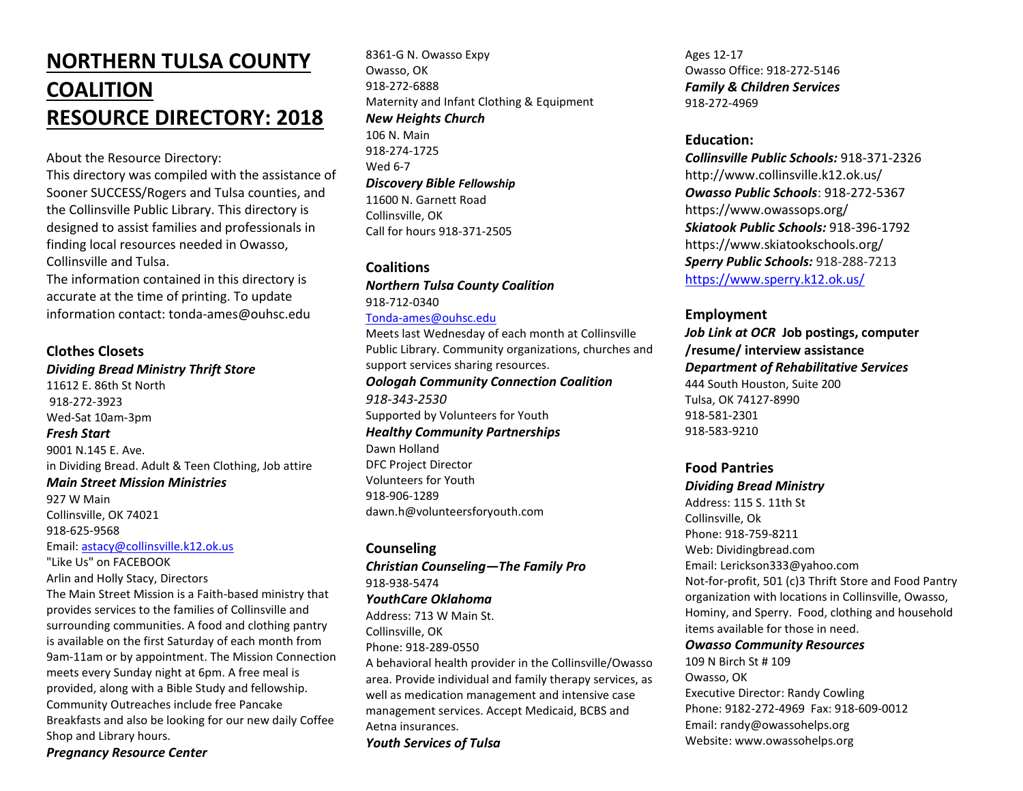# **NORTHERN TULSA COUNTY COALITION RESOURCE DIRECTORY: 2018**

About the Resource Directory:

This directory was compiled with the assistance of Sooner SUCCESS/Rogers and Tulsa counties, and the Collinsville Public Library. This directory is designed to assist families and professionals in finding local resources needed in Owasso, Collinsville and Tulsa.

The information contained in this directory is accurate at the time of printing. To update information contact: tonda-ames@ouhsc.edu

## **Clothes Closets**

*Dividing Bread Ministry Thrift Store* 11612 E. 86th St North 918-272-3923 Wed-Sat 10am-3pm *Fresh Start* 9001 N.145 E. Ave. in Dividing Bread. Adult & Teen Clothing, Job attire *Main Street Mission Ministries* 927 W Main

Collinsville, OK 74021 918-625-9568

Email: [astacy@collinsville.k12.ok.us](mailto:astacy@collinsville.k12.ok.us) "Like Us" on FACEBOOK

Arlin and Holly Stacy, Directors

The Main Street Mission is a Faith-based ministry that provides services to the families of Collinsville and surrounding communities. A food and clothing pantry is available on the first Saturday of each month from 9am-11am or by appointment. The Mission Connection meets every Sunday night at 6pm. A free meal is provided, along with a Bible Study and fellowship. Community Outreaches include free Pancake Breakfasts and also be looking for our new daily Coffee Shop and Library hours.

*Pregnancy Resource Center*

8361-G N. Owasso Expy Owasso, OK 918-272-6888 Maternity and Infant Clothing & Equipment *New Heights Church*

106 N. Main 918-274-1725 Wed 6-7 *Discovery Bible Fellowship* 11600 N. Garnett Road Collinsville, OK Call for hours 918-371-2505

#### **Coalitions**

*Northern Tulsa County Coalition* 918-712-0340

#### [Tonda-ames@ouhsc.edu](mailto:Tonda-ames@ouhsc.edu)

Meets last Wednesday of each month at Collinsville Public Library. Community organizations, churches and support services sharing resources. *Oologah Community Connection Coalition 918-343-2530* Supported by Volunteers for Youth *Healthy Community Partnerships* Dawn Holland DFC Project Director Volunteers for Youth 918-906-1289 dawn.h@volunteersforyouth.com

**Counseling** *Christian Counseling—The Family Pro*  918-938-5474 *YouthCare Oklahoma* Address: 713 W Main St. Collinsville, OK Phone: 918-289-0550 A behavioral health provider in the Collinsville/Owasso area. Provide individual and family therapy services, as

well as medication management and intensive case management services. Accept Medicaid, BCBS and Aetna insurances.

*Youth Services of Tulsa*

Ages 12-17 Owasso Office: 918-272-5146 *Family & Children Services* 918-272-4969

## **Education:**

*Collinsville Public Schools:* 918-371-2326 http://www.collinsville.k12.ok.us/ *Owasso Public Schools*: 918-272-5367 https://www.owassops.org/ *Skiatook Public Schools:* 918-396-1792 https://www.skiatookschools.org/ *Sperry Public Schools:* 918-288-7213 <https://www.sperry.k12.ok.us/>

#### **Employment**

*Job Link at OCR* **Job postings, computer /resume/ interview assistance** *Department of Rehabilitative Services* 444 South Houston, Suite 200 Tulsa, OK 74127-8990 918-581-2301 918-583-9210

## **Food Pantries**

*Dividing Bread Ministry* Address: 115 S. 11th St Collinsville, Ok Phone: 918-759-8211 Web: Dividingbread.com Email: Lerickson333@yahoo.com Not-for-profit, 501 (c)3 Thrift Store and Food Pantry organization with locations in Collinsville, Owasso, Hominy, and Sperry. Food, clothing and household items available for those in need.

#### *Owasso Community Resources*

109 N Birch St # 109 Owasso, OK Executive Director: Randy Cowling Phone: 9182-272-4969 Fax: 918-609-0012 Email: randy@owassohelps.org Website: www.owassohelps.org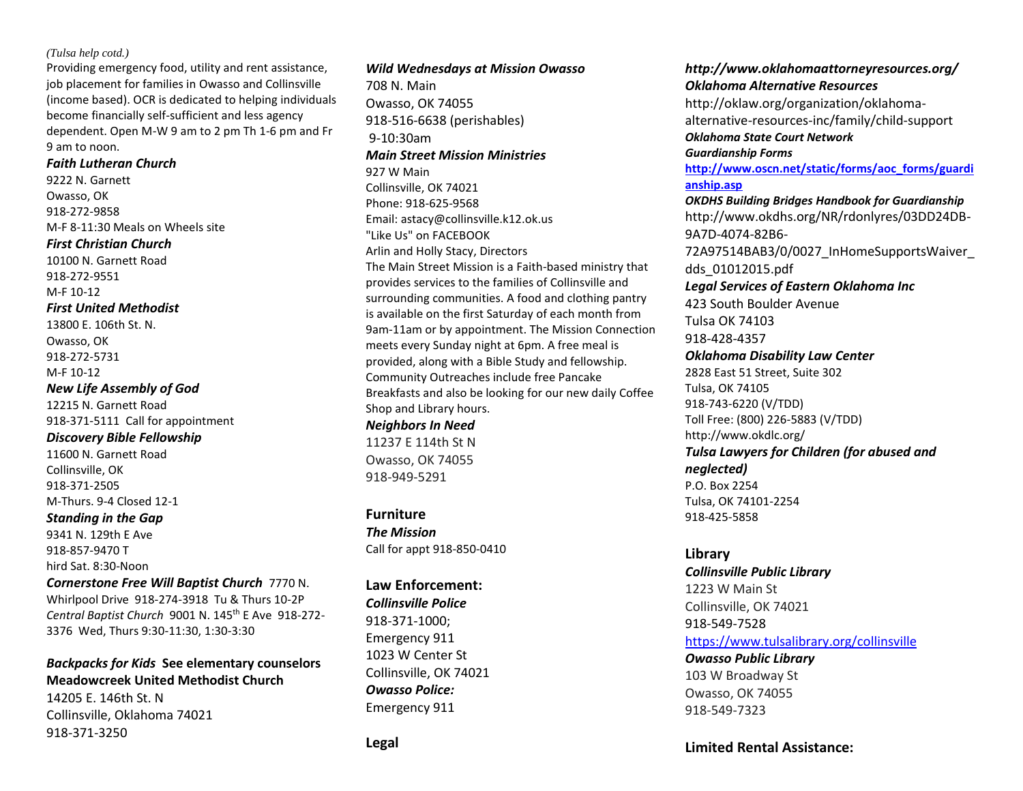#### *(Tulsa help cotd.)*

Providing emergency food, utility and rent assistance, job placement for families in Owasso and Collinsville (income based). OCR is dedicated to helping individuals become financially self-sufficient and less agency dependent. Open M-W 9 am to 2 pm Th 1-6 pm and Fr 9 am to noon.

## *Faith Lutheran Church*

9222 N. Garnett Owasso, OK 918-272-9858 M-F 8-11:30 Meals on Wheels site *First Christian Church*  10100 N. Garnett Road 918-272-9551 M-F 10-12 *First United Methodist*  13800 E. 106th St. N. Owasso, OK 918-272-5731 M-F 10-12 *New Life Assembly of God*  12215 N. Garnett Road 918-371-5111 Call for appointment *Discovery Bible Fellowship* 11600 N. Garnett Road Collinsville, OK 918-371-2505

M-Thurs. 9-4 Closed 12-1

*Standing in the Gap* 9341 N. 129th E Ave 918-857-9470 T hird Sat. 8:30-Noon

*Cornerstone Free Will Baptist Church* 7770 N. Whirlpool Drive 918-274-3918 Tu & Thurs 10-2P *Central Baptist Church* 9001 N. 145th E Ave 918-272- 3376 Wed, Thurs 9:30-11:30, 1:30-3:30

## *Backpacks for Kids* **See elementary counselors Meadowcreek United Methodist Church**

14205 E. 146th St. N Collinsville, Oklahoma 74021 918-371-3250

#### *Wild Wednesdays at Mission Owasso*

708 N. Main Owasso, OK 74055 918-516-6638 (perishables) 9-10:30am *Main Street Mission Ministries* 927 W Main Collinsville, OK 74021 Phone: 918-625-9568 Email: astacy@collinsville.k12.ok.us "Like Us" on FACEBOOK Arlin and Holly Stacy, Directors The Main Street Mission is a Faith-based ministry that provides services to the families of Collinsville and surrounding communities. A food and clothing pantry is available on the first Saturday of each month from 9am-11am or by appointment. The Mission Connection meets every Sunday night at 6pm. A free meal is provided, along with a Bible Study and fellowship. Community Outreaches include free Pancake Breakfasts and also be looking for our new daily Coffee Shop and Library hours.

*Neighbors In Need* 11237 E 114th St N Owasso, OK 74055 918-949-5291

**Furniture** *The Mission* Call for appt 918-850-0410

#### **Law Enforcement:**

*Collinsville Police* 918-371-1000; Emergency 911 1023 W Center St Collinsville, OK 74021 *Owasso Police:* Emergency 911

## *http://www.oklahomaattorneyresources.org/ Oklahoma Alternative Resources*

http://oklaw.org/organization/oklahomaalternative-resources-inc/family/child-support *Oklahoma State Court Network Guardianship Forms*

**[http://www.oscn.net/static/forms/aoc\\_forms/guardi](http://www.oscn.net/static/forms/aoc_forms/guardianship.asp) [anship.asp](http://www.oscn.net/static/forms/aoc_forms/guardianship.asp)**

*OKDHS Building Bridges Handbook for Guardianship* http://www.okdhs.org/NR/rdonlyres/03DD24DB-9A7D-4074-82B6- 72A97514BAB3/0/0027\_InHomeSupportsWaiver\_

dds\_01012015.pdf

#### *Legal Services of Eastern Oklahoma Inc*

423 South Boulder Avenue Tulsa OK 74103

918-428-4357

*Oklahoma Disability Law Center* 2828 East 51 Street, Suite 302 Tulsa, OK 74105 918-743-6220 (V/TDD) Toll Free: (800) 226-5883 (V/TDD) http://www.okdlc.org/ *Tulsa Lawyers for Children (for abused and* 

*neglected)* P.O. Box 2254 Tulsa, OK 74101-2254 918-425-5858

#### **Library**

*Collinsville Public Library* 1223 W Main St Collinsville, OK 74021 918-549-7528 <https://www.tulsalibrary.org/collinsville> *Owasso Public Library*

103 W Broadway St Owasso, OK 74055 918-549-7323

### **Limited Rental Assistance:**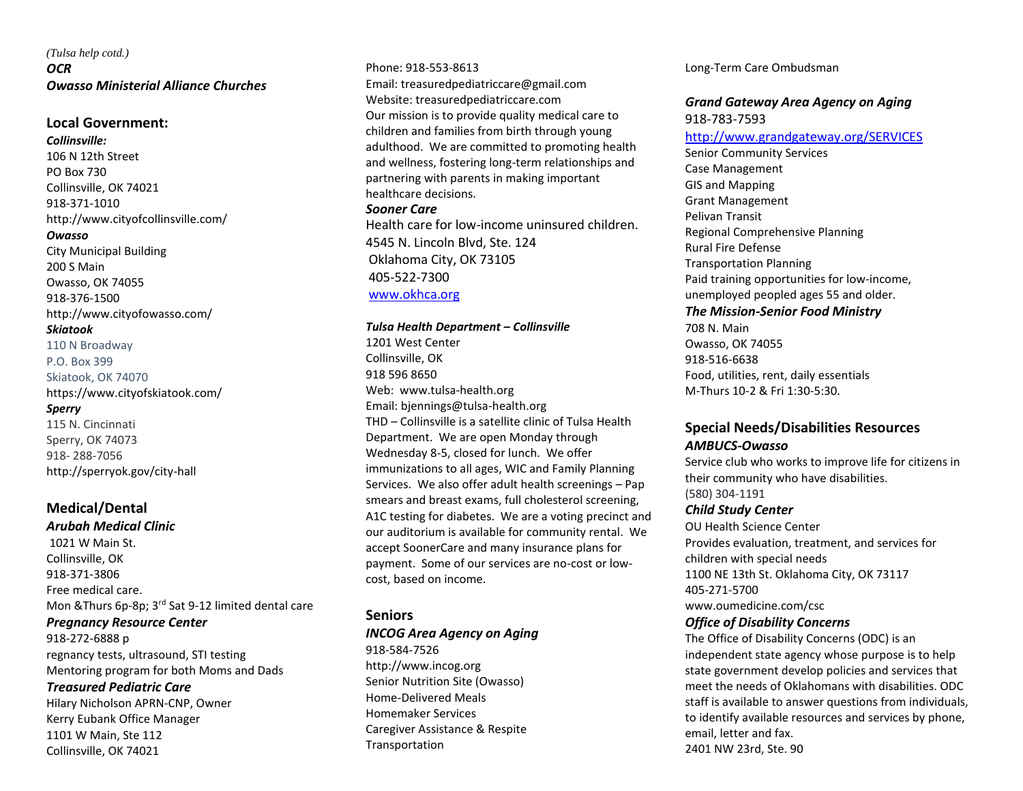## *(Tulsa help cotd.) OCR Owasso Ministerial Alliance Churches*

#### **Local Government:**

*Collinsville:* 106 N 12th Street PO Box 730 Collinsville, OK 74021 918-371-1010 http://www.cityofcollinsville.com/ *Owasso* City Municipal Building 200 S Main Owasso, OK 74055 918-376-1500 http://www.cityofowasso.com/ *Skiatook* 110 N Broadway P.O. Box 399 Skiatook, OK 74070 https://www.cityofskiatook.com/ *Sperry* 115 N. Cincinnati Sperry, OK 74073 918- 288-7056 http://sperryok.gov/city-hall

## **Medical/Dental**

*Arubah Medical Clinic* 1021 W Main St. Collinsville, OK 918-371-3806 Free medical care. Mon &Thurs 6p-8p; 3<sup>rd</sup> Sat 9-12 limited dental care

#### *Pregnancy Resource Center*

918-272-6888 p regnancy tests, ultrasound, STI testing Mentoring program for both Moms and Dads

#### *Treasured Pediatric Care*

Hilary Nicholson APRN-CNP, Owner Kerry Eubank Office Manager 1101 W Main, Ste 112 Collinsville, OK 74021

Phone: 918-553-8613 Email: treasuredpediatriccare@gmail.com Website: treasuredpediatriccare.com Our mission is to provide quality medical care to children and families from birth through young adulthood. We are committed to promoting health and wellness, fostering long-term relationships and partnering with parents in making important healthcare decisions. *Sooner Care* Health care for low-income uninsured children. 4545 N. Lincoln Blvd, Ste. 124

Oklahoma City, OK 73105 405-522-7300 [www.okhca.org](http://www.okhca.org/)

#### *Tulsa Health Department – Collinsville*

1201 West Center Collinsville, OK 918 596 8650 Web: www.tulsa-health.org Email: bjennings@tulsa-health.org THD – Collinsville is a satellite clinic of Tulsa Health Department. We are open Monday through Wednesday 8-5, closed for lunch. We offer immunizations to all ages, WIC and Family Planning Services. We also offer adult health screenings – Pap smears and breast exams, full cholesterol screening, A1C testing for diabetes. We are a voting precinct and our auditorium is available for community rental. We accept SoonerCare and many insurance plans for payment. Some of our services are no-cost or lowcost, based on income.

#### **Seniors**

#### *INCOG Area Agency on Aging*

918-584-7526 http://www.incog.org Senior Nutrition Site (Owasso) Home-Delivered Meals Homemaker Services Caregiver Assistance & Respite Transportation

Long-Term Care Ombudsman

#### *Grand Gateway Area Agency on Aging* 918-783-7593

#### <http://www.grandgateway.org/SERVICES>

Senior Community Services Case Management GIS and Mapping Grant Management Pelivan Transit Regional Comprehensive Planning Rural Fire Defense Transportation Planning Paid training opportunities for low-income, unemployed peopled ages 55 and older. *The Mission-Senior Food Ministry* 708 N. Main Owasso, OK 74055

918-516-6638 Food, utilities, rent, daily essentials M-Thurs 10-2 & Fri 1:30-5:30.

## **Special Needs/Disabilities Resources** *AMBUCS-Owasso*

Service club who works to improve life for citizens in their community who have disabilities. (580) 304-1191

#### *Child Study Center*

OU Health Science Center Provides evaluation, treatment, and services for children with special needs 1100 NE 13th St. Oklahoma City, OK 73117 405-271-5700

www.oumedicine.com/csc

#### *Office of Disability Concerns*

The Office of Disability Concerns (ODC) is an independent state agency whose purpose is to help state government develop policies and services that meet the needs of Oklahomans with disabilities. ODC staff is available to answer questions from individuals, to identify available resources and services by phone, email, letter and fax. 2401 NW 23rd, Ste. 90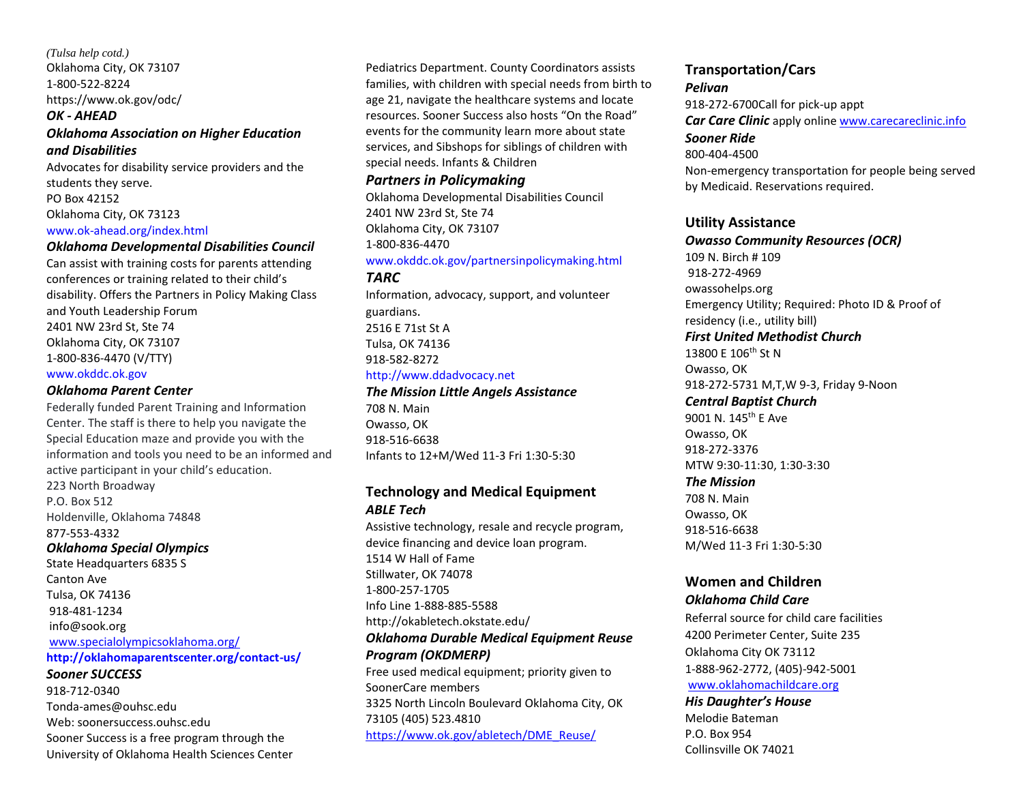*(Tulsa help cotd.)* Oklahoma City, OK 73107 1-800-522-8224 https://www.ok.gov/odc/

### *OK - AHEAD Oklahoma Association on Higher Education and Disabilities*

Advocates for disability service providers and the students they serve. PO Box 42152 Oklahoma City, OK 73123 www.ok-ahead.org/index.html

#### *Oklahoma Developmental Disabilities Council*

Can assist with training costs for parents attending conferences or training related to their child's disability. Offers the Partners in Policy Making Class and Youth Leadership Forum 2401 NW 23rd St, Ste 74 Oklahoma City, OK 73107 1-800-836-4470 (V/TTY) www.okddc.ok.gov

#### *Oklahoma Parent Center*

Federally funded Parent Training and Information Center. The staff is there to help you navigate the Special Education maze and provide you with the information and tools you need to be an informed and active participant in your child's education. 223 North Broadway P.O. Box 512 Holdenville, Oklahoma 74848 877-553-4332 *Oklahoma Special Olympics* State Headquarters 6835 S Canton Ave Tulsa, OK 74136 918-481-1234 [info@sook.org](mailto:info@sook.org) [www.specialolympicsoklahoma.org/](http://www.specialolympicsoklahoma.org/) **http://oklahomaparentscenter.org/contact-us/** *Sooner SUCCESS* 918-712-0340 Tonda-ames@ouhsc.edu Web: soonersuccess.ouhsc.edu Sooner Success is a free program through the

University of Oklahoma Health Sciences Center

Pediatrics Department. County Coordinators assists families, with children with special needs from birth to age 21, navigate the healthcare systems and locate resources. Sooner Success also hosts "On the Road" events for the community learn more about state services, and Sibshops for siblings of children with special needs. Infants & Children

#### *Partners in Policymaking*

Oklahoma Developmental Disabilities Council 2401 NW 23rd St, Ste 74 Oklahoma City, OK 73107 1-800-836-4470 www.okddc.ok.gov/partnersinpolicymaking.html

*TARC*  Information, advocacy, support, and volunteer

guardians. 2516 E 71st St A Tulsa, OK 74136 918-582-8272 http://www.ddadvocacy.net

## *The Mission Little Angels Assistance*

708 N. Main Owasso, OK 918-516-6638 Infants to 12+M/Wed 11-3 Fri 1:30-5:30

## **Technology and Medical Equipment** *ABLE Tech*

Assistive technology, resale and recycle program, device financing and device loan program. 1514 W Hall of Fame Stillwater, OK 74078 1-800-257-1705 Info Line 1-888-885-5588 http://okabletech.okstate.edu/ *Oklahoma Durable Medical Equipment Reuse Program (OKDMERP)*  Free used medical equipment; priority given to SoonerCare members 3325 North Lincoln Boulevard Oklahoma City, OK 73105 (405) 523.4810 [https://www.ok.gov/abletech/DME\\_Reuse/](https://www.ok.gov/abletech/DME_Reuse/)

#### **Transportation/Cars** *Pelivan*

918-272-6700Call for pick-up appt *Car Care Clinic* apply online [www.carecareclinic.info](http://www.carecareclinic.info/) *Sooner Ride* 800-404-4500 Non-emergency transportation for people being served by Medicaid. Reservations required.

## **Utility Assistance**

*Owasso Community Resources (OCR)* 109 N. Birch # 109 918-272-4969 owassohelps.org Emergency Utility; Required: Photo ID & Proof of residency (i.e., utility bill) *First United Methodist Church* 13800 E 106th St N Owasso, OK 918-272-5731 M,T,W 9-3, Friday 9-Noon *Central Baptist Church*  9001 N. 145th E Ave Owasso, OK 918-272-3376 MTW 9:30-11:30, 1:30-3:30 *The Mission* 708 N. Main Owasso, OK 918-516-6638 M/Wed 11-3 Fri 1:30-5:30

#### **Women and Children** *Oklahoma Child Care*

Referral source for child care facilities 4200 Perimeter Center, Suite 235 Oklahoma City OK 73112 1-888-962-2772, (405)-942-5001 [www.oklahomachildcare.org](http://www.oklahomachildcare.org/) *His Daughter's House*

Melodie Bateman P.O. Box 954 Collinsville OK 74021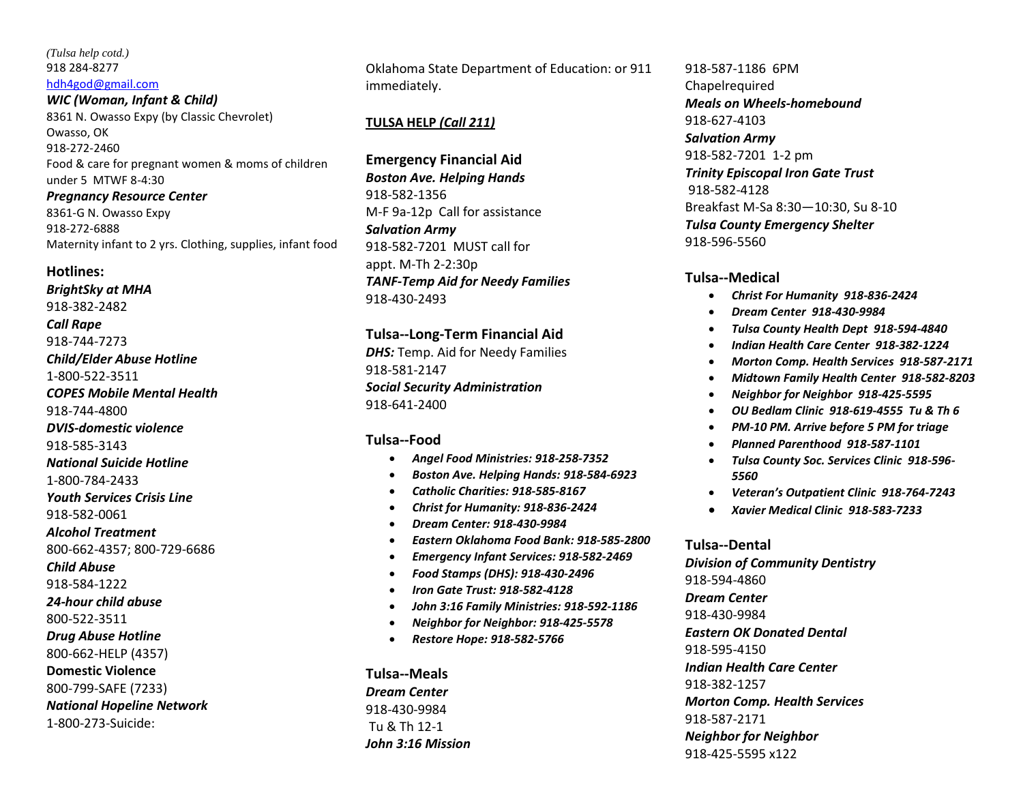#### *(Tulsa help cotd.)* 918 284-8277 [hdh4god@gmail.com](mailto:hdh4god@gmail.com)

*WIC (Woman, Infant & Child)* 8361 N. Owasso Expy (by Classic Chevrolet) Owasso, OK 918-272-2460 Food & care for pregnant women & moms of children under 5 MTWF 8-4:30

*Pregnancy Resource Center* 8361-G N. Owasso Expy 918-272-6888 Maternity infant to 2 yrs. Clothing, supplies, infant food

#### **Hotlines:**

*BrightSky at MHA*  918-382-2482 *Call Rape*  918-744-7273 *Child/Elder Abuse Hotline*  1-800-522-3511 *COPES Mobile Mental Health*  918-744-4800 *DVIS-domestic violence*  918-585-3143 *National Suicide Hotline*  1-800-784-2433 *Youth Services Crisis Line*  918-582-0061 *Alcohol Treatment* 800-662-4357; 800-729-6686 *Child Abuse* 918-584-1222 *24-hour child abuse* 800-522-3511 *Drug Abuse Hotline* 800-662-HELP (4357) **Domestic Violence** 800-799-SAFE (7233) *National Hopeline Network*  1-800-273-Suicide:

Oklahoma State Department of Education: or 911 immediately.

## **TULSA HELP** *(Call 211)*

**Emergency Financial Aid** *Boston Ave. Helping Hands*  918-582-1356 M-F 9a-12p Call for assistance *Salvation Army*  918-582-7201 MUST call for appt. M-Th 2-2:30p *TANF-Temp Aid for Needy Families*  918-430-2493

## **Tulsa--Long-Term Financial Aid**

*DHS:* Temp. Aid for Needy Families 918-581-2147 *Social Security Administration* 918-641-2400

## **Tulsa--Food**

- *Angel Food Ministries: 918-258-7352*
- *Boston Ave. Helping Hands: 918-584-6923*
- *Catholic Charities: 918-585-8167*
- *Christ for Humanity: 918-836-2424*
- *Dream Center: 918-430-9984*
- *Eastern Oklahoma Food Bank: 918-585-2800*
- *Emergency Infant Services: 918-582-2469*
- *Food Stamps (DHS): 918-430-2496*
- *Iron Gate Trust: 918-582-4128*
- *John 3:16 Family Ministries: 918-592-1186*
- *Neighbor for Neighbor: 918-425-5578*
- *Restore Hope: 918-582-5766*

**Tulsa--Meals** *Dream Center*  918-430-9984 Tu & Th 12-1 *John 3:16 Mission*

918-587-1186 6PM Chapelrequired *Meals on Wheels-homebound*  918-627-4103 *Salvation Army*  918-582-7201 1-2 pm *Trinity Episcopal Iron Gate Trust*  918-582-4128 Breakfast M-Sa 8:30—10:30, Su 8-10 *Tulsa County Emergency Shelter*  918-596-5560

## **Tulsa--Medical**

- *Christ For Humanity 918-836-2424*
- *Dream Center 918-430-9984*
- *Tulsa County Health Dept 918-594-4840*
- *Indian Health Care Center 918-382-1224*
- *Morton Comp. Health Services 918-587-2171*
- *Midtown Family Health Center 918-582-8203*
- *Neighbor for Neighbor 918-425-5595*
- *OU Bedlam Clinic 918-619-4555 Tu & Th 6*
- *PM-10 PM. Arrive before 5 PM for triage*
- *Planned Parenthood 918-587-1101*
- *Tulsa County Soc. Services Clinic 918-596- 5560*
- *Veteran's Outpatient Clinic 918-764-7243*
- *Xavier Medical Clinic 918-583-7233*

#### **Tulsa--Dental**

*Division of Community Dentistry*  918-594-4860 *Dream Center*  918-430-9984 *Eastern OK Donated Dental*  918-595-4150 *Indian Health Care Center*  918-382-1257 *Morton Comp. Health Services*  918-587-2171 *Neighbor for Neighbor*  918-425-5595 x122